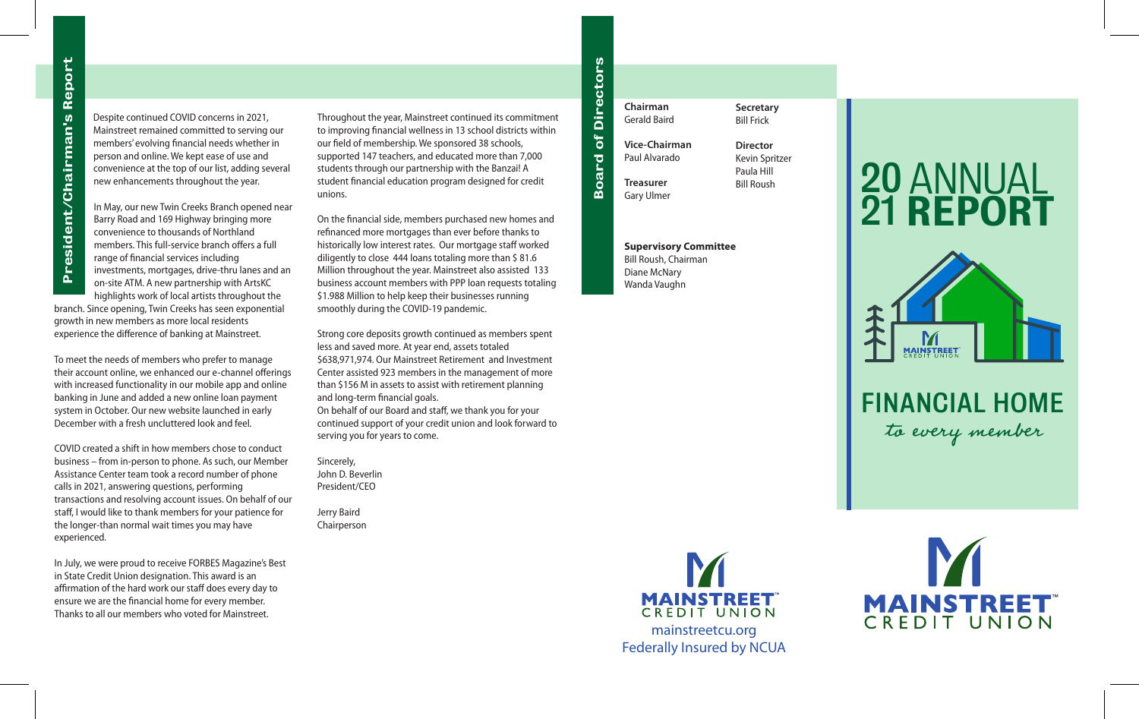Despite continued COVID concerns in 2021, Mainstreet remained committed to serving our members' evolving financial needs whether in person and online. We kept ease of use and convenience at the top of our list, adding several new enhancements throughout the year.

In May, our new Twin Creeks Branch opened near Barry Road and 169 Highway bringing more convenience to thousands of Northland members. This full-service branch offers a full range of financial services including investments, mortgages, drive-thru lanes and an on-site ATM. A new partnership with ArtsKC highlights work of local artists throughout the

branch. Since opening, Twin Creeks has seen exponential growth in new members as more local residents experience the difference of banking at Mainstreet.

To meet the needs of members who prefer to manage their account online, we enhanced our e-channel offerings with increased functionality in our mobile app and online banking in June and added a new online loan payment system in October. Our new website launched in early December with a fresh uncluttered look and feel.

COVID created a shift in how members chose to conduct business – from in-person to phone. As such, our Member Assistance Center team took a record number of phone calls in 2021, answering questions, performing transactions and resolving account issues. On behalf of our staff, I would like to thank members for your patience for the longer-than normal wait times you may have experienced.

In July, we were proud to receive FORBES Magazine's Best in State Credit Union designation. This award is an affirmation of the hard work our staff does every day to ensure we are the financial home for every member. Thanks to all our members who voted for Mainstreet.

Throughout the year, Mainstreet continued its commitment to improving financial wellness in 13 school districts within our field of membership. We sponsored 38 schools, supported 147 teachers, and educated more than 7,000 students through our partnership with the Banzai! A student financial education program designed for credit unions.

On the financial side, members purchased new homes and refinanced more mortgages than ever before thanks to historically low interest rates. Our mortgage staff worked diligently to close 444 loans totaling more than \$ 81.6 Million throughout the year. Mainstreet also assisted 133 business account members with PPP loan requests totaling \$1.988 Million to help keep their businesses running smoothly during the COVID-19 pandemic.

Strong core deposits growth continued as members spent less and saved more. At year end, assets totaled \$638,971,974. Our Mainstreet Retirement and Investment Center assisted 923 members in the management of more than \$156 M in assets to assist with retirement planning and long-term financial goals. On behalf of our Board and staff, we thank you for your continued support of your credit union and look forward to serving you for years to come.

Sincerely, John D. Beverlin President/CEO

Jerry Baird Chairperson

**Chairman** Gerald Baird **Vice-Chairman** Paul Alvarado **Treasurer** Gary Ulmer

∞ o a r ত o f

Dir e  $\boldsymbol{\mathsf{c}}$ t o r n,

**Secretary** Bill Frick

**Director** Kevin Spritzer Paula Hill Bill Roush

**Supervisory Committee** Bill Roush, Chairman Diane McNary Wanda Vaughn

## ANNUAL REPORT 20 21



FINANCIAL HOME to every member